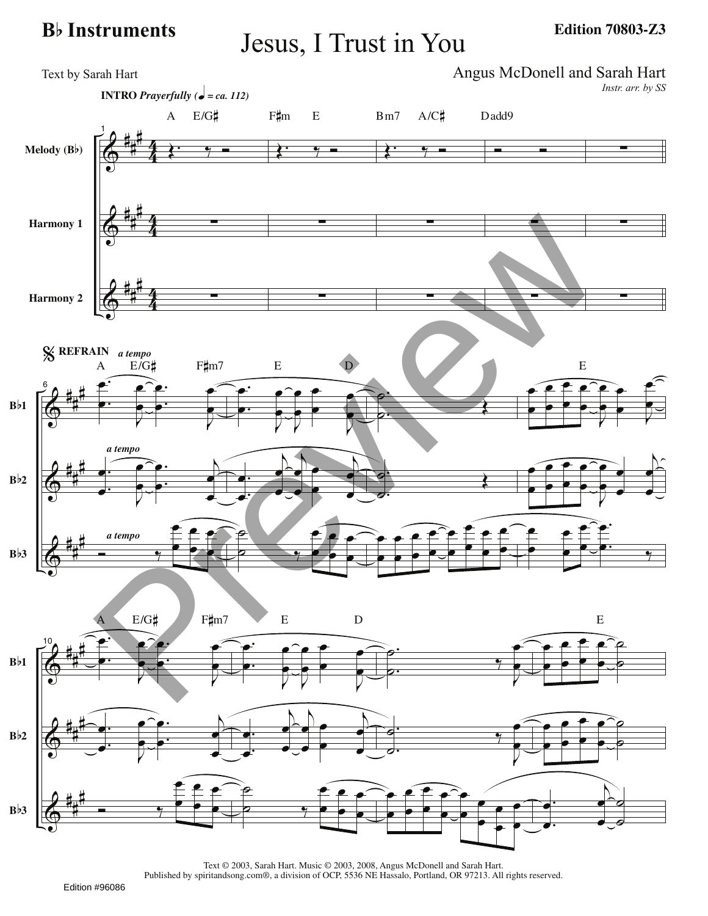## **<sup>B</sup>**b **Instruments** Jesus, I Trust in You

**Edition 70803-Z3**



Text © 2003, Sarah Hart. Music © 2003, 2008, Angus McDonell and Sarah Hart. Published by spiritandsong.com®, a division of OCP, 5536 NE Hassalo, Portland, OR 97213. All rights reserved.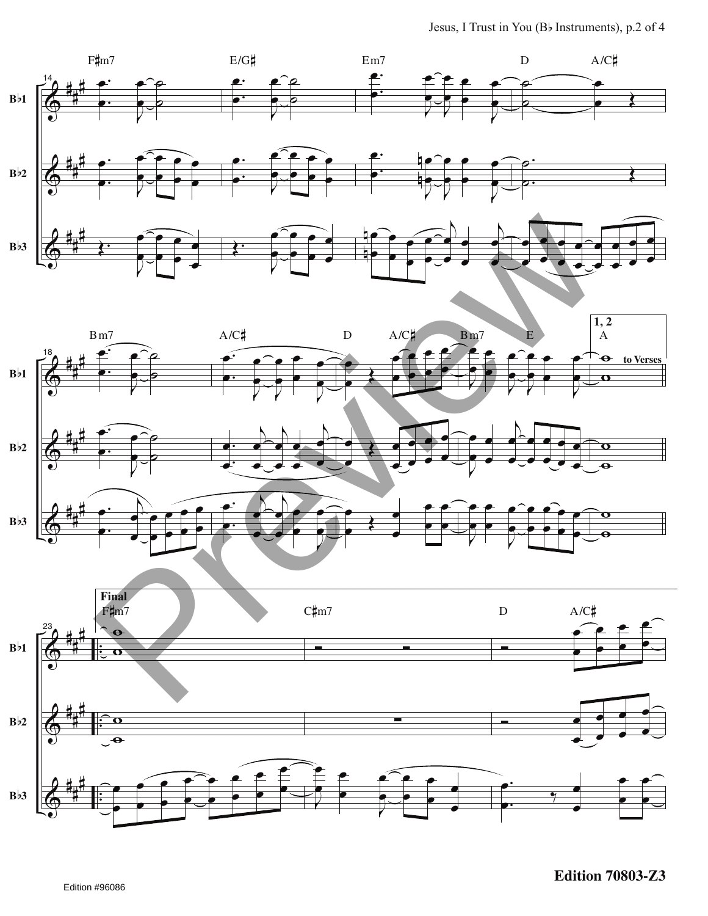

**Edition 70803-Z3**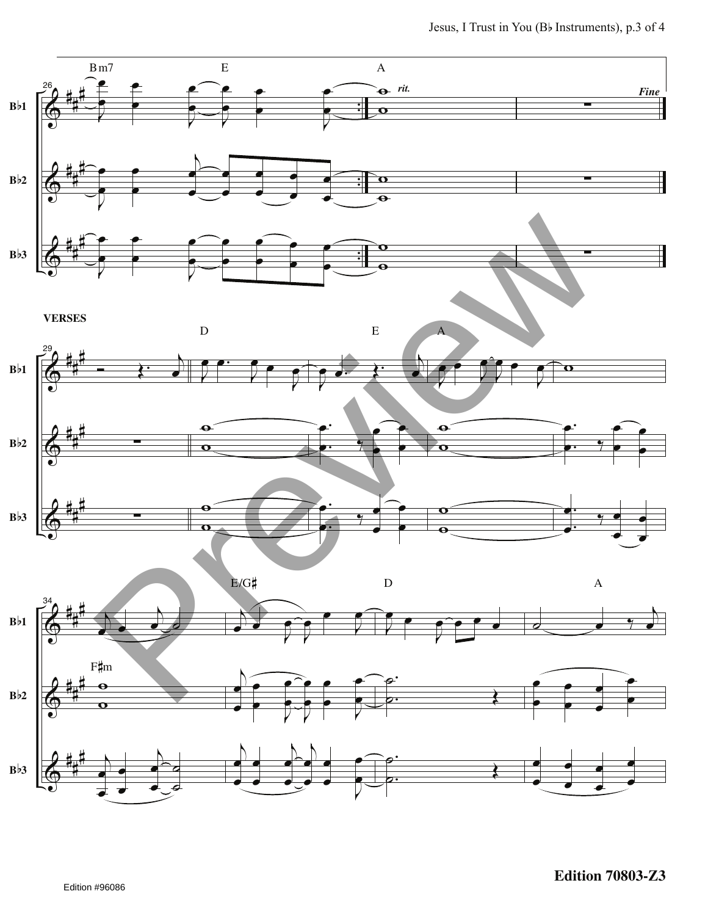